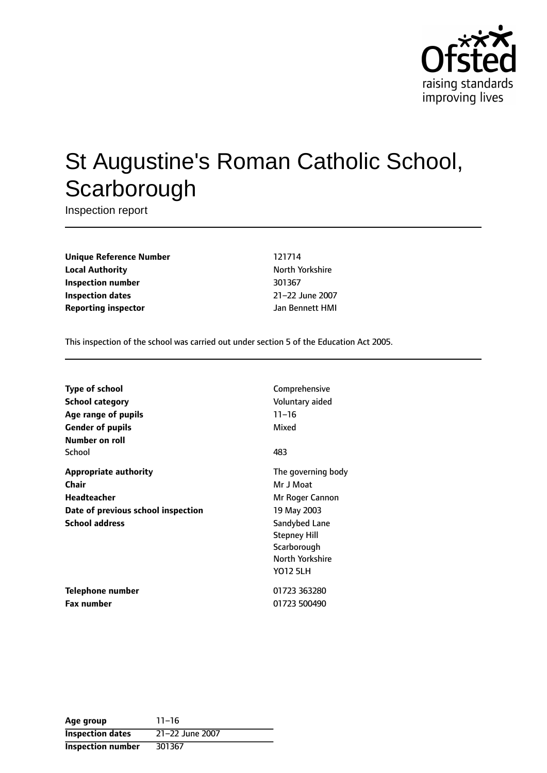

# St Augustine's Roman Catholic School, **Scarborough**

Inspection report

**Unique Reference Number** 121714 **Local Authority North Yorkshire** North Yorkshire **Inspection number** 301367 **Inspection dates** 21-22 June 2007 **Reporting inspector** Jan Bennett HMI

This inspection of the school was carried out under section 5 of the Education Act 2005.

| <b>Type of school</b>              | Comprehensive       |
|------------------------------------|---------------------|
| School category                    | Voluntary aided     |
| Age range of pupils                | $11 - 16$           |
| <b>Gender of pupils</b>            | Mixed               |
| Number on roll                     |                     |
| School                             | 483                 |
| <b>Appropriate authority</b>       | The governing body  |
| Chair                              | Mr J Moat           |
| <b>Headteacher</b>                 | Mr Roger Cannon     |
| Date of previous school inspection | 19 May 2003         |
| <b>School address</b>              | Sandybed Lane       |
|                                    | <b>Stepney Hill</b> |
|                                    | Scarborough         |
|                                    | North Yorkshire     |
|                                    | YO12 5LH            |
| Telephone number                   | 01723 363280        |
| <b>Fax number</b>                  | 01723 500490        |

| Age group                | $11 - 16$       |
|--------------------------|-----------------|
| <b>Inspection dates</b>  | 21-22 June 2007 |
| <b>Inspection number</b> | 301367          |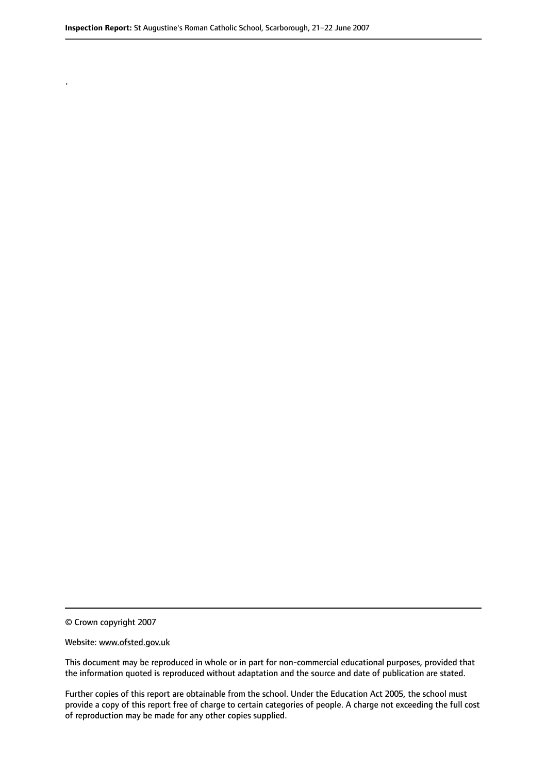© Crown copyright 2007

.

#### Website: www.ofsted.gov.uk

This document may be reproduced in whole or in part for non-commercial educational purposes, provided that the information quoted is reproduced without adaptation and the source and date of publication are stated.

Further copies of this report are obtainable from the school. Under the Education Act 2005, the school must provide a copy of this report free of charge to certain categories of people. A charge not exceeding the full cost of reproduction may be made for any other copies supplied.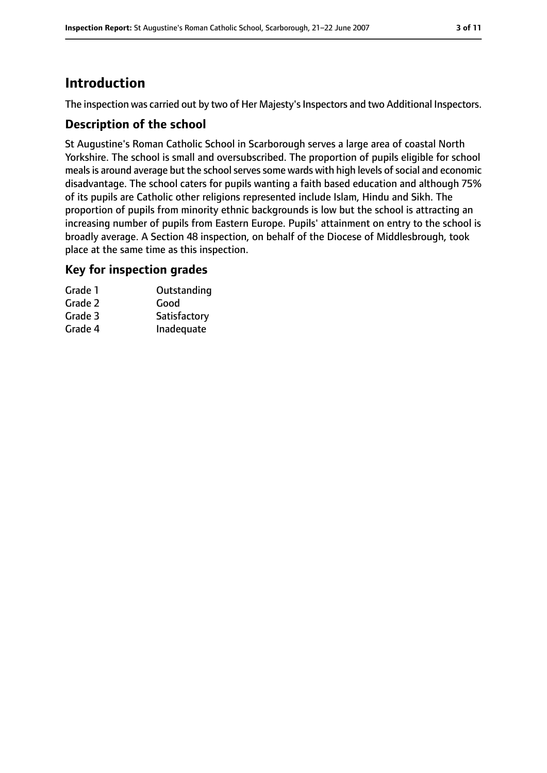# **Introduction**

The inspection was carried out by two of Her Majesty's Inspectors and two Additional Inspectors.

### **Description of the school**

St Augustine's Roman Catholic School in Scarborough serves a large area of coastal North Yorkshire. The school is small and oversubscribed. The proportion of pupils eligible for school meals is around average but the school serves some wards with high levels of social and economic disadvantage. The school caters for pupils wanting a faith based education and although 75% of its pupils are Catholic other religions represented include Islam, Hindu and Sikh. The proportion of pupils from minority ethnic backgrounds is low but the school is attracting an increasing number of pupils from Eastern Europe. Pupils' attainment on entry to the school is broadly average. A Section 48 inspection, on behalf of the Diocese of Middlesbrough, took place at the same time as this inspection.

### **Key for inspection grades**

| Grade 1 | Outstanding  |
|---------|--------------|
| Grade 2 | Good         |
| Grade 3 | Satisfactory |
| Grade 4 | Inadequate   |
|         |              |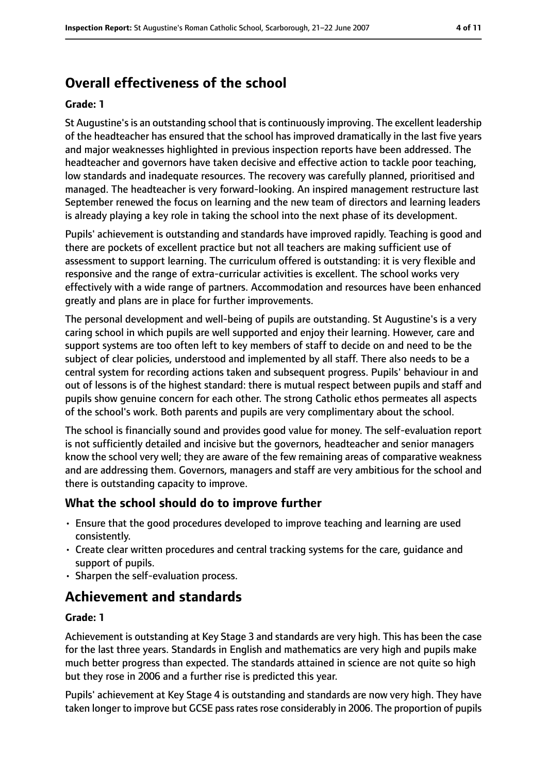# **Overall effectiveness of the school**

#### **Grade: 1**

St Augustine'sis an outstanding school that is continuously improving. The excellent leadership of the headteacher has ensured that the school has improved dramatically in the last five years and major weaknesses highlighted in previous inspection reports have been addressed. The headteacher and governors have taken decisive and effective action to tackle poor teaching, low standards and inadequate resources. The recovery was carefully planned, prioritised and managed. The headteacher is very forward-looking. An inspired management restructure last September renewed the focus on learning and the new team of directors and learning leaders is already playing a key role in taking the school into the next phase of its development.

Pupils' achievement is outstanding and standards have improved rapidly. Teaching is good and there are pockets of excellent practice but not all teachers are making sufficient use of assessment to support learning. The curriculum offered is outstanding: it is very flexible and responsive and the range of extra-curricular activities is excellent. The school works very effectively with a wide range of partners. Accommodation and resources have been enhanced greatly and plans are in place for further improvements.

The personal development and well-being of pupils are outstanding. St Augustine's is a very caring school in which pupils are well supported and enjoy their learning. However, care and support systems are too often left to key members of staff to decide on and need to be the subject of clear policies, understood and implemented by all staff. There also needs to be a central system for recording actions taken and subsequent progress. Pupils' behaviour in and out of lessons is of the highest standard: there is mutual respect between pupils and staff and pupils show genuine concern for each other. The strong Catholic ethos permeates all aspects of the school's work. Both parents and pupils are very complimentary about the school.

The school is financially sound and provides good value for money. The self-evaluation report is not sufficiently detailed and incisive but the governors, headteacher and senior managers know the school very well; they are aware of the few remaining areas of comparative weakness and are addressing them. Governors, managers and staff are very ambitious for the school and there is outstanding capacity to improve.

#### **What the school should do to improve further**

- Ensure that the good procedures developed to improve teaching and learning are used consistently.
- Create clear written procedures and central tracking systems for the care, guidance and support of pupils.
- Sharpen the self-evaluation process.

# **Achievement and standards**

#### **Grade: 1**

Achievement is outstanding at Key Stage 3 and standards are very high. This has been the case for the last three years. Standards in English and mathematics are very high and pupils make much better progress than expected. The standards attained in science are not quite so high but they rose in 2006 and a further rise is predicted this year.

Pupils' achievement at Key Stage 4 is outstanding and standards are now very high. They have taken longer to improve but GCSE pass rates rose considerably in 2006. The proportion of pupils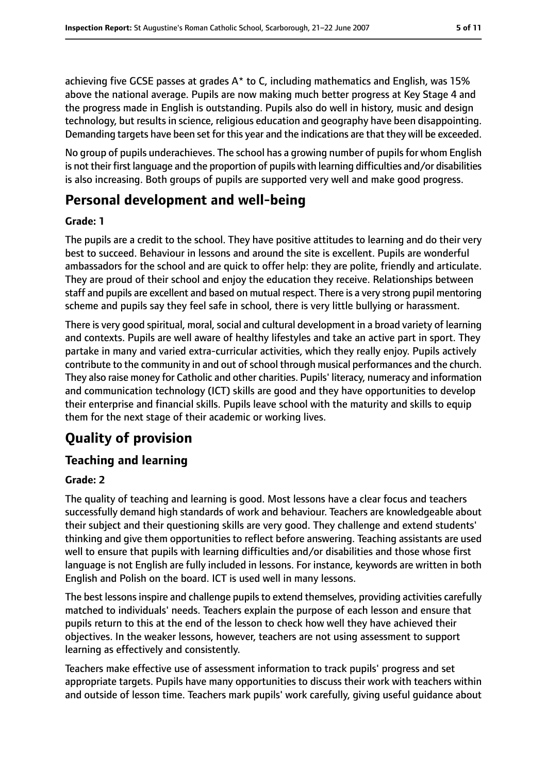achieving five GCSE passes at grades  $A^*$  to C, including mathematics and English, was 15% above the national average. Pupils are now making much better progress at Key Stage 4 and the progress made in English is outstanding. Pupils also do well in history, music and design technology, but results in science, religious education and geography have been disappointing. Demanding targets have been set for this year and the indications are that they will be exceeded.

No group of pupils underachieves. The school has a growing number of pupilsfor whom English is not their first language and the proportion of pupils with learning difficulties and/or disabilities is also increasing. Both groups of pupils are supported very well and make good progress.

# **Personal development and well-being**

#### **Grade: 1**

The pupils are a credit to the school. They have positive attitudes to learning and do their very best to succeed. Behaviour in lessons and around the site is excellent. Pupils are wonderful ambassadors for the school and are quick to offer help: they are polite, friendly and articulate. They are proud of their school and enjoy the education they receive. Relationships between staff and pupils are excellent and based on mutual respect. There is a very strong pupil mentoring scheme and pupils say they feel safe in school, there is very little bullying or harassment.

There is very good spiritual, moral, social and cultural development in a broad variety of learning and contexts. Pupils are well aware of healthy lifestyles and take an active part in sport. They partake in many and varied extra-curricular activities, which they really enjoy. Pupils actively contribute to the community in and out of school through musical performances and the church. They also raise money for Catholic and other charities. Pupils' literacy, numeracy and information and communication technology (ICT) skills are good and they have opportunities to develop their enterprise and financial skills. Pupils leave school with the maturity and skills to equip them for the next stage of their academic or working lives.

# **Quality of provision**

# **Teaching and learning**

#### **Grade: 2**

The quality of teaching and learning is good. Most lessons have a clear focus and teachers successfully demand high standards of work and behaviour. Teachers are knowledgeable about their subject and their questioning skills are very good. They challenge and extend students' thinking and give them opportunities to reflect before answering. Teaching assistants are used well to ensure that pupils with learning difficulties and/or disabilities and those whose first language is not English are fully included in lessons. For instance, keywords are written in both English and Polish on the board. ICT is used well in many lessons.

The best lessons inspire and challenge pupils to extend themselves, providing activities carefully matched to individuals' needs. Teachers explain the purpose of each lesson and ensure that pupils return to this at the end of the lesson to check how well they have achieved their objectives. In the weaker lessons, however, teachers are not using assessment to support learning as effectively and consistently.

Teachers make effective use of assessment information to track pupils' progress and set appropriate targets. Pupils have many opportunities to discuss their work with teachers within and outside of lesson time. Teachers mark pupils' work carefully, giving useful guidance about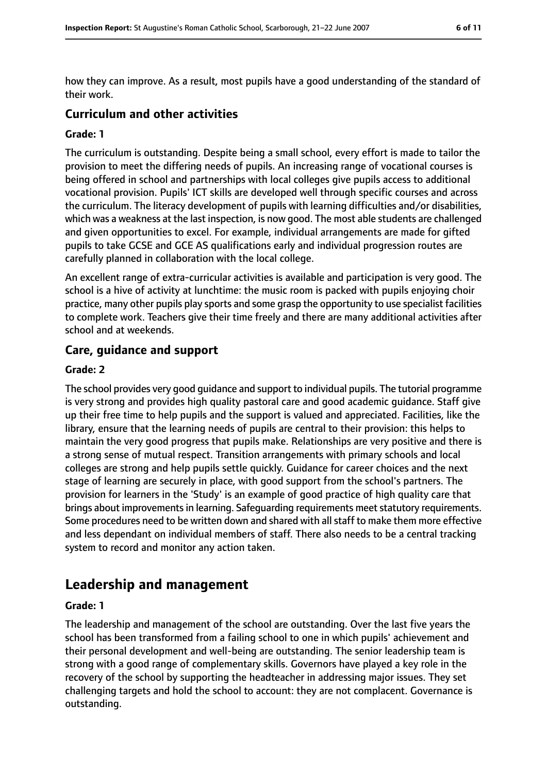how they can improve. As a result, most pupils have a good understanding of the standard of their work.

### **Curriculum and other activities**

#### **Grade: 1**

The curriculum is outstanding. Despite being a small school, every effort is made to tailor the provision to meet the differing needs of pupils. An increasing range of vocational courses is being offered in school and partnerships with local colleges give pupils access to additional vocational provision. Pupils' ICT skills are developed well through specific courses and across the curriculum. The literacy development of pupils with learning difficulties and/or disabilities, which was a weakness at the last inspection, is now good. The most able students are challenged and given opportunities to excel. For example, individual arrangements are made for gifted pupils to take GCSE and GCE AS qualifications early and individual progression routes are carefully planned in collaboration with the local college.

An excellent range of extra-curricular activities is available and participation is very good. The school is a hive of activity at lunchtime: the music room is packed with pupils enjoying choir practice, many other pupils play sports and some grasp the opportunity to use specialist facilities to complete work. Teachers give their time freely and there are many additional activities after school and at weekends.

#### **Care, guidance and support**

#### **Grade: 2**

The school provides very good guidance and support to individual pupils. The tutorial programme is very strong and provides high quality pastoral care and good academic guidance. Staff give up their free time to help pupils and the support is valued and appreciated. Facilities, like the library, ensure that the learning needs of pupils are central to their provision: this helps to maintain the very good progress that pupils make. Relationships are very positive and there is a strong sense of mutual respect. Transition arrangements with primary schools and local colleges are strong and help pupils settle quickly. Guidance for career choices and the next stage of learning are securely in place, with good support from the school's partners. The provision for learners in the 'Study' is an example of good practice of high quality care that brings about improvements in learning. Safeguarding requirements meet statutory requirements. Some procedures need to be written down and shared with all staff to make them more effective and less dependant on individual members of staff. There also needs to be a central tracking system to record and monitor any action taken.

# **Leadership and management**

#### **Grade: 1**

The leadership and management of the school are outstanding. Over the last five years the school has been transformed from a failing school to one in which pupils' achievement and their personal development and well-being are outstanding. The senior leadership team is strong with a good range of complementary skills. Governors have played a key role in the recovery of the school by supporting the headteacher in addressing major issues. They set challenging targets and hold the school to account: they are not complacent. Governance is outstanding.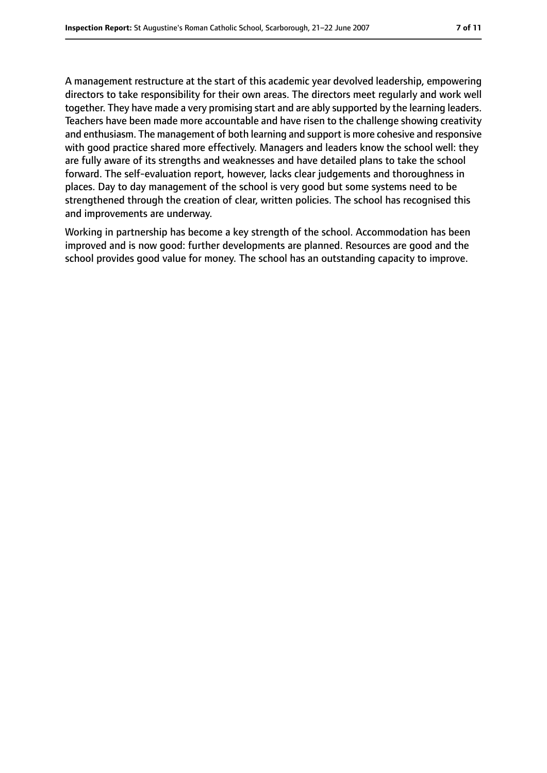A management restructure at the start of this academic year devolved leadership, empowering directors to take responsibility for their own areas. The directors meet regularly and work well together. They have made a very promising start and are ably supported by the learning leaders. Teachers have been made more accountable and have risen to the challenge showing creativity and enthusiasm. The management of both learning and support is more cohesive and responsive with good practice shared more effectively. Managers and leaders know the school well: they are fully aware of its strengths and weaknesses and have detailed plans to take the school forward. The self-evaluation report, however, lacks clear judgements and thoroughness in places. Day to day management of the school is very good but some systems need to be strengthened through the creation of clear, written policies. The school has recognised this and improvements are underway.

Working in partnership has become a key strength of the school. Accommodation has been improved and is now good: further developments are planned. Resources are good and the school provides good value for money. The school has an outstanding capacity to improve.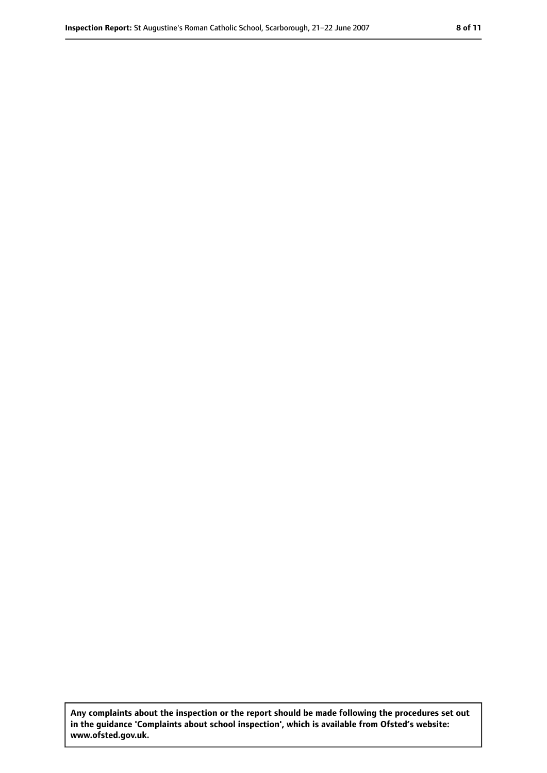**Any complaints about the inspection or the report should be made following the procedures set out in the guidance 'Complaints about school inspection', which is available from Ofsted's website: www.ofsted.gov.uk.**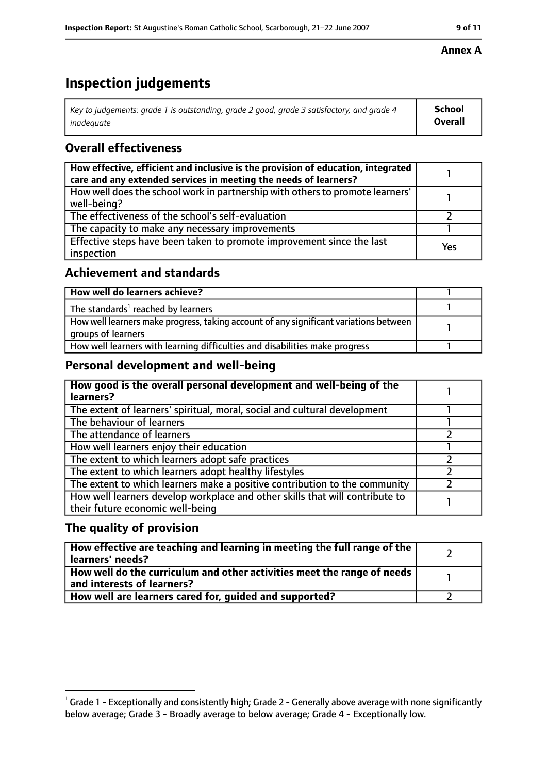# **Inspection judgements**

| Key to judgements: grade 1 is outstanding, grade 2 good, grade 3 satisfactory, and grade 4 | School         |
|--------------------------------------------------------------------------------------------|----------------|
| inadeguate                                                                                 | <b>Overall</b> |

### **Overall effectiveness**

| How effective, efficient and inclusive is the provision of education, integrated<br>care and any extended services in meeting the needs of learners? |     |
|------------------------------------------------------------------------------------------------------------------------------------------------------|-----|
| How well does the school work in partnership with others to promote learners'<br>well-being?                                                         |     |
| The effectiveness of the school's self-evaluation                                                                                                    |     |
| The capacity to make any necessary improvements                                                                                                      |     |
| Effective steps have been taken to promote improvement since the last<br>inspection                                                                  | Yes |

### **Achievement and standards**

| How well do learners achieve?                                                                               |  |
|-------------------------------------------------------------------------------------------------------------|--|
| The standards <sup>1</sup> reached by learners                                                              |  |
| How well learners make progress, taking account of any significant variations between<br>groups of learners |  |
| How well learners with learning difficulties and disabilities make progress                                 |  |

### **Personal development and well-being**

| How good is the overall personal development and well-being of the<br>learners?                                  |  |
|------------------------------------------------------------------------------------------------------------------|--|
| The extent of learners' spiritual, moral, social and cultural development                                        |  |
| The behaviour of learners                                                                                        |  |
| The attendance of learners                                                                                       |  |
| How well learners enjoy their education                                                                          |  |
| The extent to which learners adopt safe practices                                                                |  |
| The extent to which learners adopt healthy lifestyles                                                            |  |
| The extent to which learners make a positive contribution to the community                                       |  |
| How well learners develop workplace and other skills that will contribute to<br>their future economic well-being |  |

### **The quality of provision**

| How effective are teaching and learning in meeting the full range of the<br>learners' needs?          |  |
|-------------------------------------------------------------------------------------------------------|--|
| How well do the curriculum and other activities meet the range of needs<br>and interests of learners? |  |
| How well are learners cared for, guided and supported?                                                |  |

#### **Annex A**

 $^1$  Grade 1 - Exceptionally and consistently high; Grade 2 - Generally above average with none significantly below average; Grade 3 - Broadly average to below average; Grade 4 - Exceptionally low.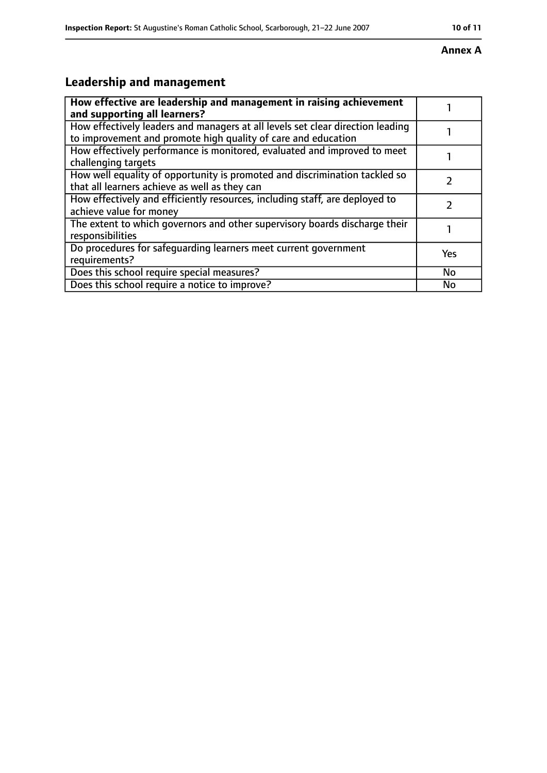#### **Annex A**

# **Leadership and management**

| How effective are leadership and management in raising achievement<br>and supporting all learners?                                              |               |
|-------------------------------------------------------------------------------------------------------------------------------------------------|---------------|
| How effectively leaders and managers at all levels set clear direction leading<br>to improvement and promote high quality of care and education |               |
| How effectively performance is monitored, evaluated and improved to meet<br>challenging targets                                                 |               |
| How well equality of opportunity is promoted and discrimination tackled so<br>that all learners achieve as well as they can                     |               |
| How effectively and efficiently resources, including staff, are deployed to<br>achieve value for money                                          | $\mathcal{P}$ |
| The extent to which governors and other supervisory boards discharge their<br>responsibilities                                                  |               |
| Do procedures for safequarding learners meet current government<br>requirements?                                                                | Yes           |
| Does this school require special measures?                                                                                                      | <b>No</b>     |
| Does this school require a notice to improve?                                                                                                   | No            |